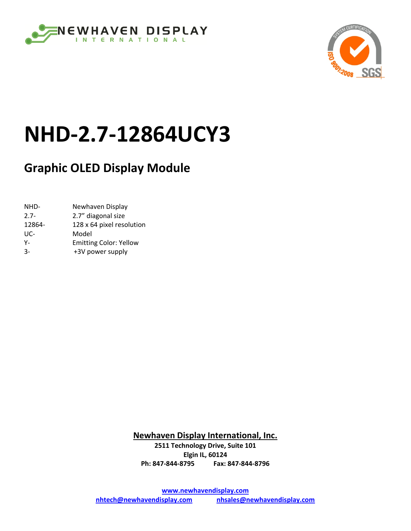



# **NHD‐2.7‐12864UCY3**

# **Graphic OLED Display Module**

NHD- Newhaven Display 2.7‐ 2.7" diagonal size 12864- 128 x 64 pixel resolution UC‐ Model Y- **Emitting Color: Yellow** 3‐ +3V power supply

> **Newhaven Display International, Inc. 2511 Technology Drive, Suite 101 Elgin IL, 60124 Ph: 847‐844‐8795 Fax: 847‐844‐8796**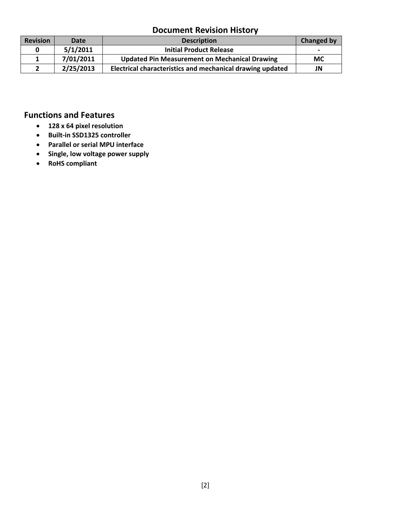#### **Document Revision History**

| <b>Revision</b> | Date      | <b>Description</b>                                        | <b>Changed by</b>        |
|-----------------|-----------|-----------------------------------------------------------|--------------------------|
|                 | 5/1/2011  | <b>Initial Product Release</b>                            | $\overline{\phantom{0}}$ |
|                 | 7/01/2011 | <b>Updated Pin Measurement on Mechanical Drawing</b>      | <b>MC</b>                |
|                 | 2/25/2013 | Electrical characteristics and mechanical drawing updated | JN                       |

#### **Functions and Features**

- **128 x 64 pixel resolution**
- **Built‐in SSD1325 controller**
- **Parallel or serial MPU interface**
- **Single, low voltage power supply**
- **RoHS compliant**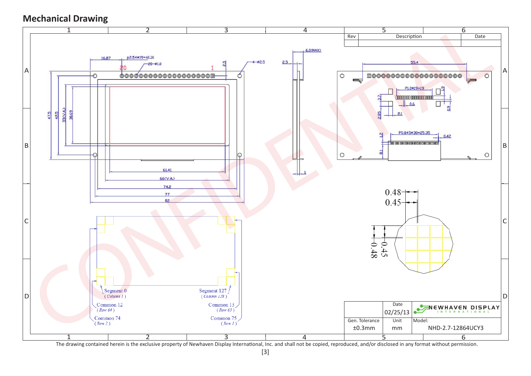## **Mechanical Drawing**



The drawing contained herein is the exclusive property of Newhaven Display International, Inc. and shall not be copied, reproduced, and/or disclosed in any format without permission.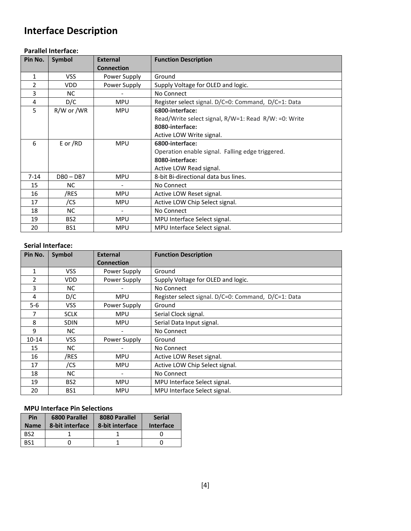## **Interface Description**

#### **Parallel Interface:**

| Pin No.      | <b>Symbol</b>   | <b>External</b>   | <b>Function Description</b>                          |  |  |  |  |  |
|--------------|-----------------|-------------------|------------------------------------------------------|--|--|--|--|--|
|              |                 | <b>Connection</b> |                                                      |  |  |  |  |  |
| $\mathbf{1}$ | <b>VSS</b>      | Power Supply      | Ground                                               |  |  |  |  |  |
| 2            | <b>VDD</b>      | Power Supply      | Supply Voltage for OLED and logic.                   |  |  |  |  |  |
| 3            | <b>NC</b>       |                   | No Connect                                           |  |  |  |  |  |
| 4            | D/C             | <b>MPU</b>        | Register select signal. D/C=0: Command, D/C=1: Data  |  |  |  |  |  |
| 5            | R/W or /WR      | <b>MPU</b>        | 6800-interface:                                      |  |  |  |  |  |
|              |                 |                   | Read/Write select signal, R/W=1: Read R/W: =0: Write |  |  |  |  |  |
|              |                 |                   | 8080-interface:                                      |  |  |  |  |  |
|              |                 |                   | Active LOW Write signal.                             |  |  |  |  |  |
| 6            | E or /RD        | <b>MPU</b>        | 6800-interface:                                      |  |  |  |  |  |
|              |                 |                   | Operation enable signal. Falling edge triggered.     |  |  |  |  |  |
|              |                 |                   | 8080-interface:                                      |  |  |  |  |  |
|              |                 |                   | Active LOW Read signal.                              |  |  |  |  |  |
| $7 - 14$     | $DB0 - DB7$     | <b>MPU</b>        | 8-bit Bi-directional data bus lines.                 |  |  |  |  |  |
| 15           | NC.             |                   | No Connect                                           |  |  |  |  |  |
| 16           | /RES            | <b>MPU</b>        | Active LOW Reset signal.                             |  |  |  |  |  |
| 17           | /CS             | <b>MPU</b>        | Active LOW Chip Select signal.                       |  |  |  |  |  |
| 18           | <b>NC</b>       |                   | No Connect                                           |  |  |  |  |  |
| 19           | BS <sub>2</sub> | <b>MPU</b>        | MPU Interface Select signal.                         |  |  |  |  |  |
| 20           | BS1             | <b>MPU</b>        | MPU Interface Select signal.                         |  |  |  |  |  |

#### **Serial Interface:**

| Pin No.                  | Symbol          | <b>External</b>   | <b>Function Description</b>                         |
|--------------------------|-----------------|-------------------|-----------------------------------------------------|
|                          |                 | <b>Connection</b> |                                                     |
| 1                        | <b>VSS</b>      | Power Supply      | Ground                                              |
| $\overline{\phantom{a}}$ | <b>VDD</b>      | Power Supply      | Supply Voltage for OLED and logic.                  |
| 3                        | <b>NC</b>       |                   | No Connect                                          |
| 4                        | D/C             | <b>MPU</b>        | Register select signal. D/C=0: Command, D/C=1: Data |
| $5 - 6$                  | <b>VSS</b>      | Power Supply      | Ground                                              |
| 7                        | <b>SCLK</b>     | <b>MPU</b>        | Serial Clock signal.                                |
| 8                        | <b>SDIN</b>     | <b>MPU</b>        | Serial Data Input signal.                           |
| 9                        | NC.             |                   | No Connect                                          |
| $10 - 14$                | VSS.            | Power Supply      | Ground                                              |
| 15                       | NC.             |                   | No Connect                                          |
| 16                       | /RES            | <b>MPU</b>        | Active LOW Reset signal.                            |
| 17                       | /CS             | <b>MPU</b>        | Active LOW Chip Select signal.                      |
| 18                       | <b>NC</b>       |                   | No Connect                                          |
| 19                       | BS <sub>2</sub> | <b>MPU</b>        | MPU Interface Select signal.                        |
| 20                       | BS1             | <b>MPU</b>        | MPU Interface Select signal.                        |

#### **MPU Interface Pin Selections**

| Pin<br><b>Name</b> | 6800 Parallel<br>8-bit interface | 8080 Parallel<br>8-bit interface | <b>Serial</b><br>Interface |
|--------------------|----------------------------------|----------------------------------|----------------------------|
| BS <sub>2</sub>    |                                  |                                  |                            |
| RS1                |                                  |                                  |                            |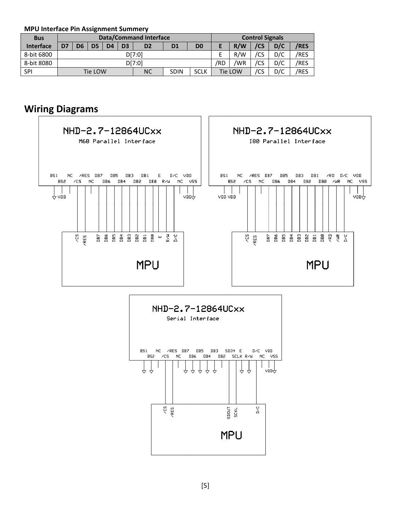**MPU U Interface Pin n Assignment t Summery**

| <b>Bus</b>       |                                                               |                                                                                  |  |  |  | <b>Data/Command Interface</b> | <b>Control Signals</b> |  |  |  |     |     |             |
|------------------|---------------------------------------------------------------|----------------------------------------------------------------------------------|--|--|--|-------------------------------|------------------------|--|--|--|-----|-----|-------------|
| <b>Interface</b> | D7                                                            | D <sub>3</sub><br>D <sub>4</sub><br>D <sub>2</sub><br>D <sub>0</sub><br>D5<br>D1 |  |  |  |                               |                        |  |  |  | /CS | D/C | <b>/RES</b> |
| 8-bit 6800       |                                                               | D[7:0]                                                                           |  |  |  |                               |                        |  |  |  | /CS | D/C | /RES        |
| 8-bit 8080       |                                                               | D[7:0]                                                                           |  |  |  |                               |                        |  |  |  | /CS | D/C | /RES        |
| <b>SPI</b>       | <b>NC</b><br><b>SCLK</b><br><b>SDIN</b><br>Tie LOW<br>Tie LOW |                                                                                  |  |  |  |                               |                        |  |  |  | /CS | D/C | /RES        |

#### **Wir ring Diag rams**



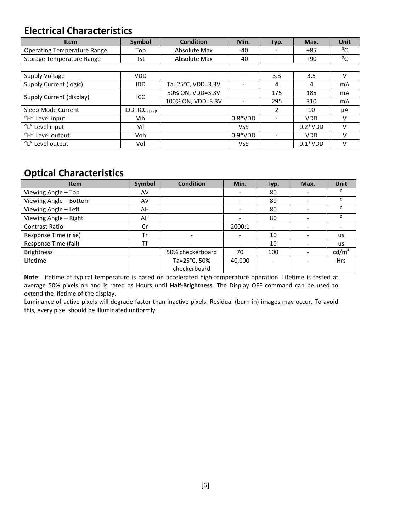### **Electrical Characteristics**

| <b>Item</b>                        | <b>Symbol</b>            | <b>Condition</b>  | Min.       | Typ.                         | Max.       | <b>Unit</b>  |
|------------------------------------|--------------------------|-------------------|------------|------------------------------|------------|--------------|
| <b>Operating Temperature Range</b> | Top                      | Absolute Max      | -40        |                              | $+85$      | °C           |
| <b>Storage Temperature Range</b>   | Tst                      | Absolute Max      | $-40$      | $\overline{\phantom{a}}$     | $+90$      | $^{\circ}$ C |
|                                    |                          |                   |            |                              |            |              |
| Supply Voltage                     | <b>VDD</b>               |                   |            | 3.3                          | 3.5        | V            |
| Supply Current (logic)             | <b>IDD</b>               | Ta=25°C, VDD=3.3V |            | 4                            | 4          | mA           |
|                                    | ICC                      | 50% ON, VDD=3.3V  |            | 175                          | 185        | mA           |
| Supply Current (display)           |                          | 100% ON, VDD=3.3V |            | 295                          | 310        | mA           |
| Sleep Mode Current                 | IDD+ICC <sub>SLEEP</sub> |                   | -          | 2                            | 10         | μA           |
| "H" Level input                    | Vih                      |                   | $0.8*VDD$  | $\overline{\phantom{a}}$     | <b>VDD</b> | v            |
| "L" Level input                    | Vil                      |                   | <b>VSS</b> | $\qquad \qquad \blacksquare$ | $0.2*VDD$  | v            |
| "H" Level output                   | Voh                      |                   | $0.9*VDD$  | $\overline{\phantom{a}}$     | <b>VDD</b> | v            |
| "L" Level output                   | Vol                      |                   | <b>VSS</b> |                              | $0.1*VDD$  | v            |

## **Optical Characteristics**

| <b>Item</b>            | Symbol | <b>Condition</b> | Min.   | Typ.                     | Max. | <b>Unit</b>     |
|------------------------|--------|------------------|--------|--------------------------|------|-----------------|
| Viewing Angle - Top    | AV     |                  |        | 80                       |      | O               |
| Viewing Angle - Bottom | AV     |                  |        | 80                       |      | $\Omega$        |
| Viewing Angle - Left   | AH     |                  |        | 80                       |      | $\Omega$        |
| Viewing Angle - Right  | AH     |                  |        | 80                       |      | $\Omega$        |
| <b>Contrast Ratio</b>  | Cr     |                  | 2000:1 | $\overline{\phantom{0}}$ |      |                 |
| Response Time (rise)   | Tr     |                  |        | 10                       |      | <b>us</b>       |
| Response Time (fall)   | Τf     |                  |        | 10                       |      | <b>us</b>       |
| <b>Brightness</b>      |        | 50% checkerboard | 70     | 100                      |      | $\text{cd/m}^2$ |
| Lifetime               |        | Ta=25°C, 50%     | 40,000 | $\overline{\phantom{a}}$ |      | <b>Hrs</b>      |
|                        |        | checkerboard     |        |                          |      |                 |

**Note**: Lifetime at typical temperature is based on accelerated high‐temperature operation. Lifetime is tested at average 50% pixels on and is rated as Hours until **Half‐Brightness**. The Display OFF command can be used to extend the lifetime of the display.

Luminance of active pixels will degrade faster than inactive pixels. Residual (burn‐in) images may occur. To avoid this, every pixel should be illuminated uniformly.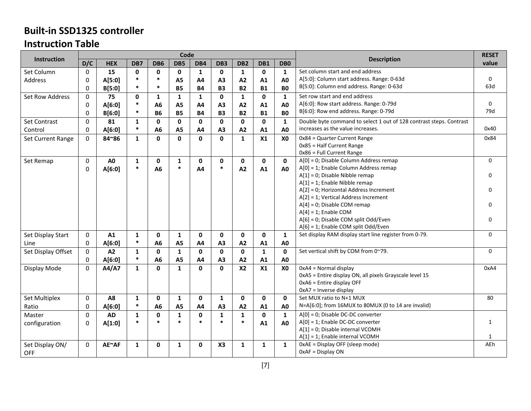### **Built‐in SSD1325 controller Instruction Table**

|                    |              |                |              |                | Code           |                |                 |                 |                        |                 |                                                                     | <b>RESET</b> |
|--------------------|--------------|----------------|--------------|----------------|----------------|----------------|-----------------|-----------------|------------------------|-----------------|---------------------------------------------------------------------|--------------|
| <b>Instruction</b> | D/C          | <b>HEX</b>     | DB7          | DB6            | DB5            | DB4            | DB <sub>3</sub> | DB <sub>2</sub> | DB1                    | DB <sub>0</sub> | <b>Description</b>                                                  | value        |
| Set Column         | $\Omega$     | 15             | 0            | $\mathbf{0}$   | $\mathbf{0}$   | 1              | $\mathbf{0}$    | $\mathbf{1}$    | $\mathbf{0}$           | 1               | Set column start and end address                                    |              |
| Address            | 0            | A[5:0]         | $\ast$       | $\ast$         | A <sub>5</sub> | A4             | A3              | A2              | A1                     | A <sub>0</sub>  | A[5:0]: Column start address. Range: 0-63d                          | $\mathbf 0$  |
|                    | 0            | B[5:0]         | $\ast$       | $\ast$         | <b>B5</b>      | <b>B4</b>      | <b>B3</b>       | <b>B2</b>       | <b>BO</b><br><b>B1</b> |                 | B[5:0]: Column end address. Range: 0-63d                            | 63d          |
| Set Row Address    | $\mathbf 0$  | 75             | $\mathbf{0}$ | 1              | $\mathbf{1}$   | 1              | 0               | $\mathbf{1}$    | 0                      | 1               | Set row start and end address                                       |              |
|                    | $\mathbf 0$  | A[6:0]         | $\ast$       | A <sub>6</sub> | A <sub>5</sub> | A <sub>4</sub> | A <sub>3</sub>  | A2              | A1                     | A <sub>0</sub>  | A[6:0]: Row start address. Range: 0-79d                             | $\Omega$     |
|                    | 0            | B[6:0]         | $\ast$       | <b>B6</b>      | <b>B5</b>      | <b>B4</b>      | <b>B3</b>       | <b>B2</b>       | <b>B1</b>              | <b>BO</b>       | B[6:0]: Row end address. Range: 0-79d                               | 79d          |
| Set Contrast       | 0            | 81             | $\mathbf{1}$ | $\mathbf{0}$   | $\mathbf 0$    | $\mathbf 0$    | $\mathbf 0$     | $\mathbf 0$     | $\mathbf 0$            | $\mathbf{1}$    | Double byte command to select 1 out of 128 contrast steps. Contrast |              |
| Control            | $\mathbf{0}$ | A[6:0]         | $\ast$       | A <sub>6</sub> | A <sub>5</sub> | A <sub>4</sub> | A3              | A2              | A1                     | A <sub>0</sub>  | increases as the value increases.                                   | 0x40         |
| Set Current Range  | $\mathbf 0$  | 84~86          | $\mathbf{1}$ | $\mathbf{0}$   | $\mathbf 0$    | $\mathbf{0}$   | $\mathbf{0}$    | $\mathbf{1}$    | X1                     | X <sub>0</sub>  | 0x84 = Quarter Current Range                                        | 0x84         |
|                    |              |                |              |                |                |                |                 |                 |                        |                 | Ox85 = Half Current Range                                           |              |
|                    |              |                |              |                |                |                |                 |                 |                        |                 | 0x86 = Full Current Range                                           |              |
| Set Remap          | $\mathbf 0$  | A <sub>0</sub> | $\mathbf{1}$ | $\mathbf{0}$   | $\mathbf{1}$   | $\mathbf{0}$   | $\mathbf{0}$    | $\mathbf{0}$    | $\mathbf{0}$           | $\mathbf{0}$    | A[0] = 0; Disable Column Address remap                              | $\Omega$     |
|                    | $\mathbf 0$  | A[6:0]         | $\ast$       | A6             | $\ast$         | A4             | $\ast$          | A2              | A1                     | A <sub>0</sub>  | A[0] = 1; Enable Column Address remap                               |              |
|                    |              |                |              |                |                |                |                 |                 |                        |                 | $A[1] = 0$ ; Disable Nibble remap                                   | $\Omega$     |
|                    |              |                |              |                |                |                |                 |                 |                        |                 | A[1] = 1; Enable Nibble remap                                       |              |
|                    |              |                |              |                |                |                |                 |                 |                        |                 | A[2] = 0; Horizontal Address Increment                              | $\Omega$     |
|                    |              |                |              |                |                |                |                 |                 |                        |                 | A[2] = 1; Vertical Address Increment                                |              |
|                    |              |                |              |                |                |                |                 |                 |                        |                 | $A[4] = 0$ ; Disable COM remap                                      | $\Omega$     |
|                    |              |                |              |                |                |                |                 |                 |                        |                 | $A[4] = 1$ ; Enable COM                                             |              |
|                    |              |                |              |                |                |                |                 |                 |                        |                 | A[6] = 0; Disable COM split Odd/Even                                | $\Omega$     |
|                    |              |                |              |                |                |                |                 |                 |                        |                 | A[6] = 1; Enable COM split Odd/Even                                 |              |
| Set Display Start  | 0            | A1             | 1            | $\mathbf{0}$   | 1              | $\mathbf{0}$   | $\mathbf{0}$    | $\mathbf 0$     | 0                      | 1               | Set display RAM display start line register from 0-79.              | $\Omega$     |
| Line               | $\mathbf 0$  | A[6:0]         | $\ast$       | A <sub>6</sub> | A <sub>5</sub> | A <sub>4</sub> | A3              | A2              | A1                     | A <sub>0</sub>  |                                                                     |              |
| Set Display Offset | $\pmb{0}$    | A2             | $\mathbf{1}$ | $\mathbf{0}$   | $\mathbf{1}$   | $\mathbf{0}$   | $\mathbf{0}$    | $\mathbf{0}$    | 1                      | $\mathbf{0}$    | Set vertical shift by COM from 0~79.                                | $\Omega$     |
|                    | $\mathbf 0$  | A[6:0]         | $\ast$       | A <sub>6</sub> | A <sub>5</sub> | A4             | A3              | A2              | A1                     | A <sub>0</sub>  |                                                                     |              |
| Display Mode       | $\mathbf 0$  | A4/A7          | $\mathbf{1}$ | $\mathbf{0}$   | $\mathbf{1}$   | $\mathbf{0}$   | $\mathbf{0}$    | X <sub>2</sub>  | X1                     | X <sub>0</sub>  | OxA4 = Normal display                                               | 0xA4         |
|                    |              |                |              |                |                |                |                 |                 |                        |                 | 0xA5 = Entire display ON, all pixels Grayscale level 15             |              |
|                    |              |                |              |                |                |                |                 |                 |                        |                 | $0xA6$ = Entire display OFF                                         |              |
|                    |              |                |              |                |                |                |                 |                 |                        |                 | $0xA7$ = Inverse display                                            |              |
| Set Multiplex      | $\mathbf 0$  | A8             | $\mathbf{1}$ | $\mathbf 0$    | $\mathbf{1}$   | $\mathbf{0}$   | $\mathbf{1}$    | $\mathbf 0$     | $\mathbf 0$            | $\mathbf 0$     | Set MUX ratio to N+1 MUX                                            | 80           |
| Ratio              | $\mathbf 0$  | A[6:0]         | $\ast$       | A <sub>6</sub> | A <sub>5</sub> | A <sub>4</sub> | A3              | A2              | A1                     | A <sub>0</sub>  | N=A[6:0]; from 16MUX to 80MUX (0 to 14 are invalid)                 |              |
| Master             | 0            | <b>AD</b>      | $\mathbf{1}$ | $\mathbf 0$    | $\mathbf 1$    | $\mathbf 0$    | $\mathbf{1}$    | $\mathbf 1$     | $\mathbf 0$            | $\mathbf{1}$    | A[0] = 0; Disable DC-DC converter                                   |              |
| configuration      | $\mathbf 0$  | A[1:0]         | $\ast$       | $\star$        | $\ast$         | $\star$        | $\ast$          | $\ast$          | A1                     | A <sub>0</sub>  | $A[0] = 1$ ; Enable DC-DC converter                                 | 1            |
|                    |              |                |              |                |                |                |                 |                 |                        |                 | A[1] = 0; Disable internal VCOMH                                    |              |
|                    |              |                |              |                |                |                |                 |                 |                        |                 | A[1] = 1; Enable internal VCOMH                                     | $\mathbf{1}$ |
| Set Display ON/    | 0            | AE~AF          | $\mathbf{1}$ | 0              | 1              | $\mathbf{0}$   | X <sub>3</sub>  | 1               | 1                      | 1               | OxAE = Display OFF (sleep mode)                                     | AEh          |
| <b>OFF</b>         |              |                |              |                |                |                |                 |                 |                        |                 | $0xAF = Display ON$                                                 |              |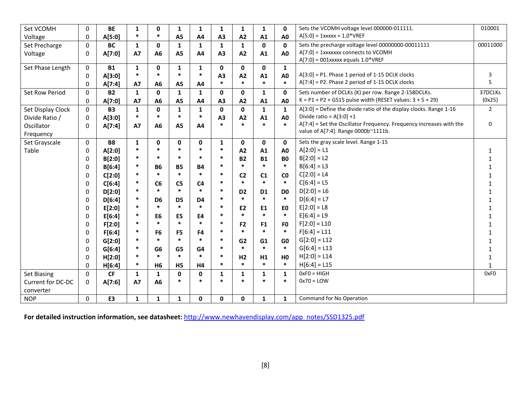| Set VCOMH         | $\pmb{0}$        | <b>BE</b> | 1            | $\mathbf 0$    | 1              | 1              | 1              | $\mathbf{1}$   | $\mathbf{1}$                                                | $\mathbf 0$    | Sets the VCOMH voltage level 000000-011111.                          | 010001         |
|-------------------|------------------|-----------|--------------|----------------|----------------|----------------|----------------|----------------|-------------------------------------------------------------|----------------|----------------------------------------------------------------------|----------------|
| Voltage           | $\boldsymbol{0}$ | A[5:0]    | $\ast$       | $\ast$         | A <sub>5</sub> | A4             | A3             | A2             | A1                                                          | A <sub>0</sub> | $A[5:0] = 1$ xxxxx = 1.0*VREF                                        |                |
| Set Precharge     | $\boldsymbol{0}$ | <b>BC</b> | $\mathbf{1}$ | $\mathbf 0$    | $\mathbf{1}$   | $\mathbf{1}$   | $\mathbf{1}$   | $\mathbf{1}$   | 0                                                           | $\mathbf 0$    | Sets the precharge voltage level 00000000-00011111                   | 00011000       |
| Voltage           | $\boldsymbol{0}$ | A[7:0]    | <b>A7</b>    | A6             | A <sub>5</sub> | A4             | A <sub>3</sub> | A2             | A[7:0] = 1xxxxxxx connects to VCOMH<br>A1<br>A <sub>0</sub> |                |                                                                      |                |
|                   |                  |           |              |                |                |                |                |                |                                                             |                | $A[7:0] = 001$ xxxxx equals $1.0*VREF$                               |                |
| Set Phase Length  | $\mathbf 0$      | <b>B1</b> | $\mathbf{1}$ | 0              | 1              | 1              | 0              | $\mathbf 0$    | 0                                                           | $\mathbf{1}$   |                                                                      |                |
|                   | $\boldsymbol{0}$ | A[3:0]    | $\ast$       | $\ast$         | $\ast$         | $\ast$         | A3             | A2             | A1                                                          | A <sub>0</sub> | $A[3:0] = P1$ . Phase 1 period of 1-15 DCLK clocks                   | 3              |
|                   | $\mathbf 0$      | A[7:4]    | <b>A7</b>    | A6             | A <sub>5</sub> | A4             | $\ast$         | $\ast$         | $\ast$                                                      | $\ast$         | $A[7:4] = P2$ . Phase 2 period of 1-15 DCLK clocks                   | 5              |
| Set Row Period    | $\pmb{0}$        | <b>B2</b> | $\mathbf{1}$ | $\mathbf{0}$   | $\mathbf{1}$   | $\mathbf{1}$   | 0              | 0              | $\mathbf{1}$                                                | $\mathbf 0$    | Sets number of DCLKs (K) per row. Range 2-158DCLKs.                  | 37DCLKs        |
|                   | $\mathbf 0$      | A[7:0]    | <b>A7</b>    | A6             | A <sub>5</sub> | A4             | A3             | A2             | A1                                                          | A <sub>0</sub> | $K = P1 + P2 + G515$ pulse width (RESET values: $3 + 5 + 29$ )       | (0x25)         |
| Set Display Clock | $\mathbf 0$      | <b>B3</b> | $\mathbf{1}$ | $\mathbf 0$    | $\mathbf{1}$   | 1              | $\mathbf{0}$   | 0              | $\mathbf{1}$                                                | $\mathbf{1}$   | $A[3:0]$ = Define the divide ratio of the display clocks. Range 1-16 | $\overline{2}$ |
| Divide Ratio /    | $\boldsymbol{0}$ | A[3:0]    | $\ast$       | $\ast$         | $\ast$         | $\ast$         | A <sub>3</sub> | A2             | A1                                                          | A <sub>0</sub> | Divide ratio = $A[3:0]+1$                                            |                |
| Oscillator        | 0                | A[7:4]    | <b>A7</b>    | A6             | A <sub>5</sub> | A4             | $\ast$         | $\ast$         | $\ast$                                                      | $\ast$         | A[7:4] = Set the Oscillator Frequency. Frequency increases with the  | 0              |
| Frequency         |                  |           |              |                |                |                |                |                |                                                             |                | value of A[7:4]. Range 0000b~1111b.                                  |                |
| Set Grayscale     | $\pmb{0}$        | <b>B8</b> | $\mathbf{1}$ | 0              | 0              | $\mathbf 0$    | 1              | 0              | 0                                                           | $\mathbf 0$    | Sets the gray scale level. Range 1-15                                |                |
| Table             | 0                | A[2:0]    | $\ast$       | $\ast$         | $\ast$         | $\ast$         | $\ast$         | A2             | A1                                                          | A <sub>0</sub> | $A[2:0] = L1$                                                        | $\mathbf{1}$   |
|                   | 0                | B[2:0]    | $\ast$       | $\ast$         | $\ast$         | $\ast$         | $\ast$         | <b>B2</b>      | <b>B1</b>                                                   | <b>B0</b>      | $B[2:0] = L2$                                                        | 1              |
|                   | $\boldsymbol{0}$ | B[6:4]    | $\ast$       | <b>B6</b>      | <b>B5</b>      | <b>B4</b>      | $\ast$         | $\ast$         | $\ast$                                                      | $\ast$         | $B[6:4] = L3$                                                        | 1              |
|                   | 0                | C[2:0]    | *            | $\ast$         | $\ast$         | $\ast$         | *              | C <sub>2</sub> | C <sub>1</sub>                                              | C <sub>0</sub> | $C[2:0] = L4$                                                        | $\mathbf{1}$   |
|                   | 0                | C[6:4]    | $\ast$       | C6             | C <sub>5</sub> | C <sub>4</sub> | $\ast$         | $\ast$         | $\ast$                                                      | $\ast$         | $C[6:4] = L5$                                                        | $\mathbf{1}$   |
|                   | 0                | D[2:0]    | *            | $\ast$         | $\ast$         | $\ast$         | $\ast$         | D <sub>2</sub> | D <sub>1</sub>                                              | D <sub>0</sub> | $D[2:0] = L6$                                                        | $\mathbf{1}$   |
|                   | 0                | D[6:4]    | $\ast$       | D <sub>6</sub> | D <sub>5</sub> | D <sub>4</sub> | $\ast$         | $\ast$         | $\ast$                                                      | $\ast$         | $D[6:4] = L7$                                                        | $\mathbf{1}$   |
|                   | $\mathbf 0$      | E[2:0]    | $\ast$       | $\ast$         | $\ast$         | $\ast$         | $\ast$         | E <sub>2</sub> | E1                                                          | E <sub>0</sub> | $E[2:0] = L8$                                                        | $\mathbf{1}$   |
|                   | $\mathbf 0$      | E[6:4]    | *            | E <sub>6</sub> | E <sub>5</sub> | E4             | *              | $\ast$         | $\ast$                                                      | $\ast$         | $E[6:4] = L9$                                                        | $\mathbf{1}$   |
|                   | 0                | F[2:0]    | *            | $\ast$         | $\ast$         | $\ast$         | $\ast$         | F <sub>2</sub> | F <sub>1</sub>                                              | F <sub>0</sub> | $F[2:0] = L10$                                                       | $\mathbf{1}$   |
|                   | $\mathbf 0$      | F[6:4]    | $\ast$       | F <sub>6</sub> | F5             | F <sub>4</sub> | $\ast$         | $\ast$         | $\ast$                                                      | $\ast$         | $F[6:4] = L11$                                                       | $\mathbf{1}$   |
|                   | $\mathbf 0$      | G[2:0]    | $\ast$       | $\ast$         | $\ast$         | $\ast$         | $\ast$         | G <sub>2</sub> | G1                                                          | G <sub>0</sub> | $G[2:0] = L12$                                                       | 1              |
|                   | $\boldsymbol{0}$ | G[6:4]    | $\ast$       | G <sub>6</sub> | G5             | G4             | $\ast$         | $\ast$         | $\ast$                                                      | $\ast$         | $G[6:4] = L13$                                                       | 1              |
|                   | 0                | H[2:0]    | $\ast$       | $\ast$         | $\ast$         | *              | *              | H <sub>2</sub> | H1                                                          | H <sub>0</sub> | $H[2:0] = L14$                                                       | $\mathbf{1}$   |
|                   | $\mathbf 0$      | H[6:4]    | $\ast$       | <b>H6</b>      | H <sub>5</sub> | H4             | $\ast$         | $\ast$         | $\ast$                                                      | $\ast$         | $H[6:4] = L15$                                                       | $\mathbf{1}$   |
| Set Biasing       | $\mathbf 0$      | CF        | $\mathbf{1}$ | $\mathbf{1}$   | $\mathbf 0$    | $\mathbf 0$    | 1              | $\mathbf{1}$   | $\mathbf{1}$                                                | 1              | $0xF0 = HIGH$                                                        | 0xF0           |
| Current for DC-DC | 0                | A[7:6]    | <b>A7</b>    | A6             | $\ast$         | $\ast$         | $\ast$         | $\ast$         | $\ast$                                                      | $\ast$         | $0x70 =$ LOW                                                         |                |
| converter         |                  |           |              |                |                |                |                |                |                                                             |                |                                                                      |                |
| <b>NOP</b>        | 0                | E3        | $\mathbf{1}$ | $\mathbf{1}$   | $\mathbf{1}$   | $\mathbf{0}$   | $\mathbf{0}$   | $\mathbf 0$    | $\mathbf{1}$                                                | $\mathbf{1}$   | Command for No Operation                                             |                |

**For detailed instruction information, see datasheet:** http://www.newhavendisplay.com/app\_notes/SSD1325.pdf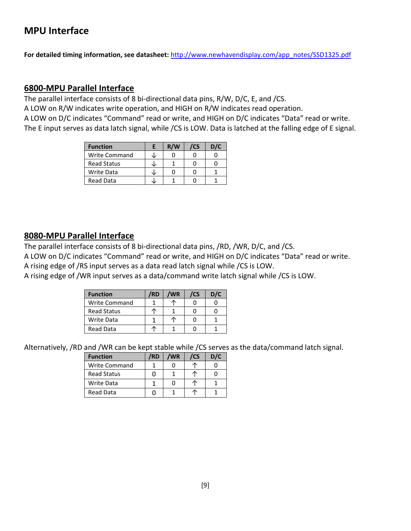## **MPU Interface**

**For detailed timing information, see datasheet:** http://www.newhavendisplay.com/app\_notes/SSD1325.pdf

#### **6800‐MPU Parallel Interface**

The parallel interface consists of 8 bi-directional data pins, R/W, D/C, E, and /CS. A LOW on R/W indicates write operation, and HIGH on R/W indicates read operation. A LOW on D/C indicates "Command" read or write, and HIGH on D/C indicates "Data" read or write. The E input serves as data latch signal, while /CS is LOW. Data is latched at the falling edge of E signal.

| <b>Function</b>      | R/W | /CS | D/C |
|----------------------|-----|-----|-----|
| <b>Write Command</b> |     |     |     |
| <b>Read Status</b>   |     |     |     |
| <b>Write Data</b>    |     |     |     |
| <b>Read Data</b>     |     |     |     |

#### **8080‐MPU Parallel Interface**

The parallel interface consists of 8 bi-directional data pins, /RD, /WR, D/C, and /CS.

A LOW on D/C indicates "Command" read or write, and HIGH on D/C indicates "Data" read or write. A rising edge of /RS input serves as a data read latch signal while /CS is LOW.

A rising edge of /WR input serves as a data/command write latch signal while /CS is LOW.

| <b>Function</b>      | 'RD | 'WR | /CS | D/C |
|----------------------|-----|-----|-----|-----|
| <b>Write Command</b> |     |     |     |     |
| <b>Read Status</b>   |     |     |     |     |
| Write Data           |     |     |     |     |
| <b>Read Data</b>     |     |     |     |     |

Alternatively, /RD and /WR can be kept stable while /CS serves as the data/command latch signal.

| <b>Function</b>      | /RD | /WR | /CS | D/C |
|----------------------|-----|-----|-----|-----|
| <b>Write Command</b> |     |     |     |     |
| <b>Read Status</b>   |     |     |     |     |
| Write Data           |     |     |     |     |
| <b>Read Data</b>     |     |     |     |     |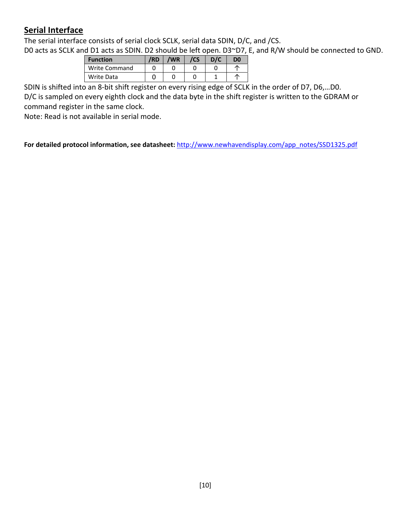#### **Serial Interface**

The serial interface consists of serial clock SCLK, serial data SDIN, D/C, and /CS.

D0 acts as SCLK and D1 acts as SDIN. D2 should be left open. D3~D7, E, and R/W should be connected to GND.

| <b>Function</b> | /RD | /WR | /CS | D/C | D <sub>0</sub> |
|-----------------|-----|-----|-----|-----|----------------|
| Write Command   |     |     |     |     |                |
| Write Data      |     |     |     |     |                |

SDIN is shifted into an 8‐bit shift register on every rising edge of SCLK in the order of D7, D6,…D0.

D/C is sampled on every eighth clock and the data byte in the shift register is written to the GDRAM or command register in the same clock.

Note: Read is not available in serial mode.

**For detailed protocol information, see datasheet:** http://www.newhavendisplay.com/app\_notes/SSD1325.pdf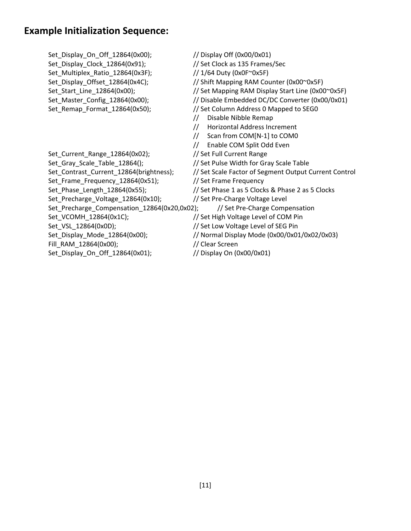#### **Example Initialization Sequence:**

Set\_Display\_On\_Off\_12864(0x00); // Display Off (0x00/0x01) Set\_Display\_Clock\_12864(0x91); // Set Clock as 135 Frames/Sec Set\_Multiplex\_Ratio\_12864(0x3F); // 1/64 Duty (0x0F~0x5F) Set\_Display\_Offset\_12864(0x4C); // Shift Mapping RAM Counter (0x00~0x5F) Set\_Start\_Line\_12864(0x00); // Set Mapping RAM Display Start Line (0x00~0x5F) Set Master Config 12864(0x00); // Disable Embedded DC/DC Converter (0x00/0x01) Set Remap Format 12864(0x50); // Set Column Address 0 Mapped to SEG0 // Disable Nibble Remap // Horizontal Address Increment // Scan from COM[N‐1] to COM0 // Enable COM Split Odd Even Set\_Current\_Range\_12864(0x02); // Set Full Current Range Set\_Gray\_Scale\_Table\_12864(); // Set Pulse Width for Gray Scale Table Set\_Contrast\_Current\_12864(brightness); // Set Scale Factor of Segment Output Current Control Set Frame Frequency 12864(0x51); // Set Frame Frequency Set\_Phase\_Length\_12864(0x55); // Set Phase 1 as 5 Clocks & Phase 2 as 5 Clocks Set\_Precharge\_Voltage\_12864(0x10); // Set Pre‐Charge Voltage Level Set Precharge Compensation 12864(0x20,0x02); // Set Pre-Charge Compensation Set\_VCOMH\_12864(0x1C); // Set High Voltage Level of COM Pin Set\_VSL\_12864(0x0D); // Set Low Voltage Level of SEG Pin Set\_Display\_Mode\_12864(0x00); // Normal Display Mode (0x00/0x01/0x02/0x03) Fill\_RAM\_12864(0x00); // Clear Screen Set\_Display\_On\_Off\_12864(0x01); // Display On (0x00/0x01)